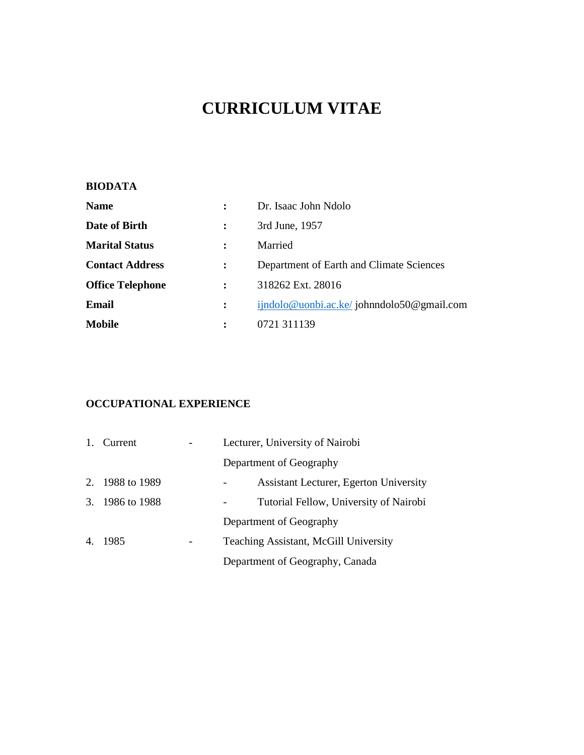# **CURRICULUM VITAE**

# **BIODATA**

| <b>Name</b>             |                | Dr. Isaac John Ndolo                      |
|-------------------------|----------------|-------------------------------------------|
| Date of Birth           |                | 3rd June, 1957                            |
| <b>Marital Status</b>   |                | Married                                   |
| <b>Contact Address</b>  |                | Department of Earth and Climate Sciences  |
| <b>Office Telephone</b> | $\ddot{\cdot}$ | 318262 Ext. 28016                         |
| Email                   |                | ijndolo@uonbi.ac.ke/johnndolo50@gmail.com |
| <b>Mobile</b>           |                | 0721 311139                               |

# **OCCUPATIONAL EXPERIENCE**

| 1. Current      | Lecturer, University of Nairobi               |
|-----------------|-----------------------------------------------|
|                 | Department of Geography                       |
| 2. 1988 to 1989 | <b>Assistant Lecturer, Egerton University</b> |
| 3. 1986 to 1988 | Tutorial Fellow, University of Nairobi        |
|                 | Department of Geography                       |
| 4. 1985         | Teaching Assistant, McGill University         |
|                 | Department of Geography, Canada               |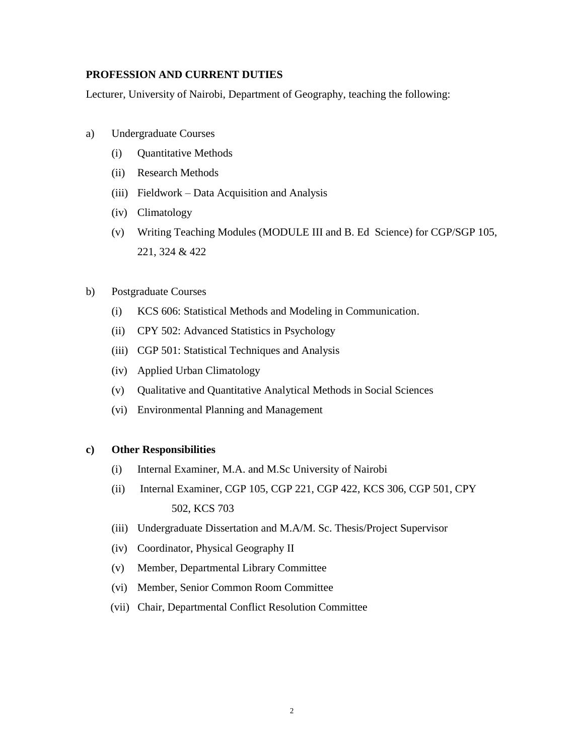## **PROFESSION AND CURRENT DUTIES**

Lecturer, University of Nairobi, Department of Geography, teaching the following:

- a) Undergraduate Courses
	- (i) Quantitative Methods
	- (ii) Research Methods
	- (iii) Fieldwork Data Acquisition and Analysis
	- (iv) Climatology
	- (v) Writing Teaching Modules (MODULE III and B. Ed Science) for CGP/SGP 105, 221, 324 & 422
- b) Postgraduate Courses
	- (i) KCS 606: Statistical Methods and Modeling in Communication.
	- (ii) CPY 502: Advanced Statistics in Psychology
	- (iii) CGP 501: Statistical Techniques and Analysis
	- (iv) Applied Urban Climatology
	- (v) Qualitative and Quantitative Analytical Methods in Social Sciences
	- (vi) Environmental Planning and Management

### **c) Other Responsibilities**

- (i) Internal Examiner, M.A. and M.Sc University of Nairobi
- (ii) Internal Examiner, CGP 105, CGP 221, CGP 422, KCS 306, CGP 501, CPY 502, KCS 703
- (iii) Undergraduate Dissertation and M.A/M. Sc. Thesis/Project Supervisor
- (iv) Coordinator, Physical Geography II
- (v) Member, Departmental Library Committee
- (vi) Member, Senior Common Room Committee
- (vii) Chair, Departmental Conflict Resolution Committee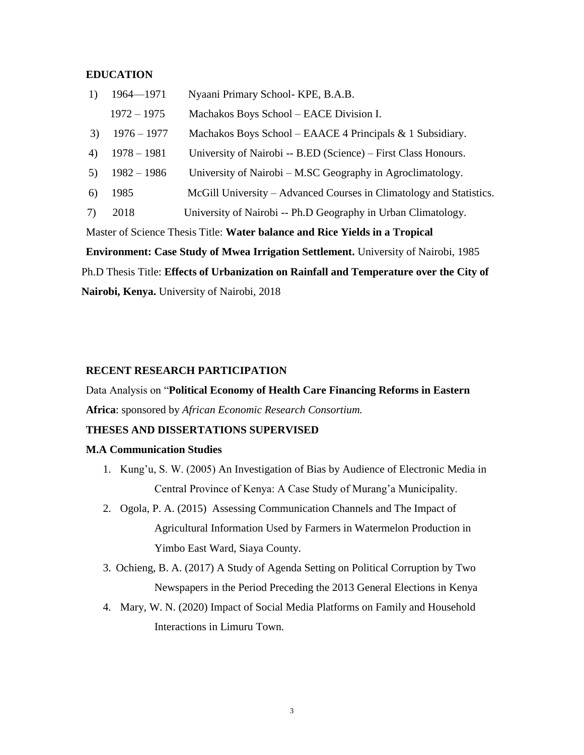#### **EDUCATION**

| 1) | 1964-1971     | Nyaani Primary School-KPE, B.A.B.                                   |
|----|---------------|---------------------------------------------------------------------|
|    | $1972 - 1975$ | Machakos Boys School – EACE Division I.                             |
| 3) | $1976 - 1977$ | Machakos Boys School – EAACE 4 Principals $& 1$ Subsidiary.         |
| 4) | $1978 - 1981$ | University of Nairobi -- B.ED (Science) – First Class Honours.      |
| 5) | $1982 - 1986$ | University of Nairobi – M.SC Geography in Agroclimatology.          |
| 6) | 1985          | McGill University – Advanced Courses in Climatology and Statistics. |
| 7) | 2018          | University of Nairobi -- Ph.D Geography in Urban Climatology.       |
|    |               |                                                                     |

Master of Science Thesis Title: **Water balance and Rice Yields in a Tropical** 

**Environment: Case Study of Mwea Irrigation Settlement.** University of Nairobi, 1985 Ph.D Thesis Title: **Effects of Urbanization on Rainfall and Temperature over the City of Nairobi, Kenya.** University of Nairobi, 2018

#### **RECENT RESEARCH PARTICIPATION**

Data Analysis on "**Political Economy of Health Care Financing Reforms in Eastern Africa**: sponsored by *African Economic Research Consortium.*

# **THESES AND DISSERTATIONS SUPERVISED**

#### **M.A Communication Studies**

- 1. Kung'u, S. W. (2005) An Investigation of Bias by Audience of Electronic Media in Central Province of Kenya: A Case Study of Murang'a Municipality.
- 2. Ogola, P. A. (2015) Assessing Communication Channels and The Impact of Agricultural Information Used by Farmers in Watermelon Production in Yimbo East Ward, Siaya County.
- 3. Ochieng, B. A. (2017) A Study of Agenda Setting on Political Corruption by Two Newspapers in the Period Preceding the 2013 General Elections in Kenya
- 4. Mary, W. N. (2020) Impact of Social Media Platforms on Family and Household Interactions in Limuru Town.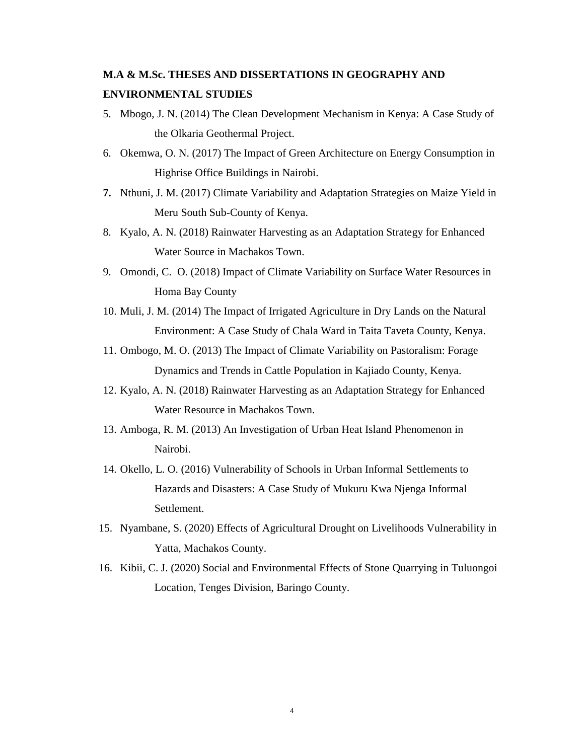# **M.A & M.Sc. THESES AND DISSERTATIONS IN GEOGRAPHY AND ENVIRONMENTAL STUDIES**

- 5. Mbogo, J. N. (2014) The Clean Development Mechanism in Kenya: A Case Study of the Olkaria Geothermal Project.
- 6. Okemwa, O. N. (2017) The Impact of Green Architecture on Energy Consumption in Highrise Office Buildings in Nairobi.
- **7.** Nthuni, J. M. (2017) Climate Variability and Adaptation Strategies on Maize Yield in Meru South Sub-County of Kenya.
- 8. Kyalo, A. N. (2018) Rainwater Harvesting as an Adaptation Strategy for Enhanced Water Source in Machakos Town.
- 9. Omondi, C. O. (2018) Impact of Climate Variability on Surface Water Resources in Homa Bay County
- 10. Muli, J. M. (2014) The Impact of Irrigated Agriculture in Dry Lands on the Natural Environment: A Case Study of Chala Ward in Taita Taveta County, Kenya.
- 11. Ombogo, M. O. (2013) The Impact of Climate Variability on Pastoralism: Forage Dynamics and Trends in Cattle Population in Kajiado County, Kenya.
- 12. Kyalo, A. N. (2018) Rainwater Harvesting as an Adaptation Strategy for Enhanced Water Resource in Machakos Town.
- 13. Amboga, R. M. (2013) An Investigation of Urban Heat Island Phenomenon in Nairobi.
- 14. Okello, L. O. (2016) Vulnerability of Schools in Urban Informal Settlements to Hazards and Disasters: A Case Study of Mukuru Kwa Njenga Informal Settlement.
- 15. Nyambane, S. (2020) Effects of Agricultural Drought on Livelihoods Vulnerability in Yatta, Machakos County.
- 16. Kibii, C. J. (2020) Social and Environmental Effects of Stone Quarrying in Tuluongoi Location, Tenges Division, Baringo County.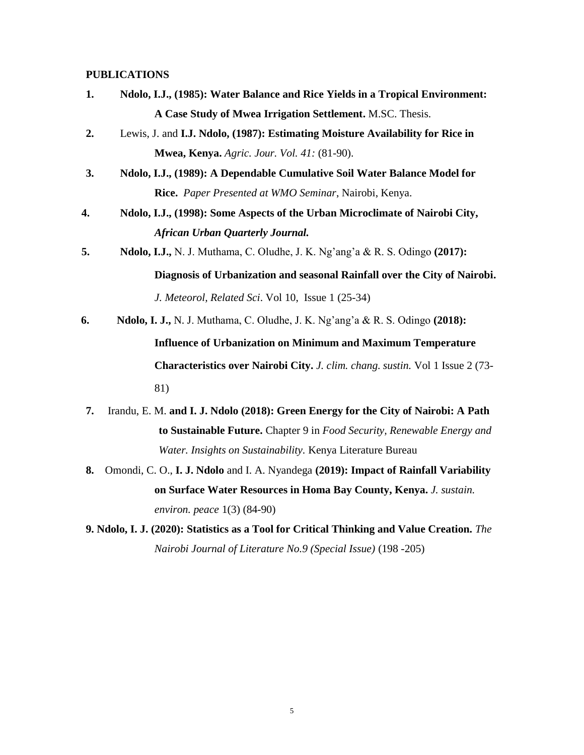#### **PUBLICATIONS**

- **1. Ndolo, I.J., (1985): Water Balance and Rice Yields in a Tropical Environment: A Case Study of Mwea Irrigation Settlement.** M.SC. Thesis.
- **2.** Lewis, J. and **I.J. Ndolo, (1987): Estimating Moisture Availability for Rice in Mwea, Kenya.** *Agric. Jour. Vol. 41:* (81-90).
- **3. Ndolo, I.J., (1989): A Dependable Cumulative Soil Water Balance Model for Rice.** *Paper Presented at WMO Seminar*, Nairobi, Kenya.
- **4. Ndolo, I.J., (1998): Some Aspects of the Urban Microclimate of Nairobi City,**  *African Urban Quarterly Journal.*
- **5. Ndolo, I.J.,** N. J. Muthama, C. Oludhe, J. K. Ng'ang'a & R. S. Odingo **(2017):**

**Diagnosis of Urbanization and seasonal Rainfall over the City of Nairobi.** *J. Meteorol, Related Sci*. Vol 10, Issue 1 (25-34)

**6. Ndolo, I. J.,** N. J. Muthama, C. Oludhe, J. K. Ng'ang'a & R. S. Odingo **(2018):** 

**Influence of Urbanization on Minimum and Maximum Temperature Characteristics over Nairobi City.** *J. clim. chang. sustin.* Vol 1 Issue 2 (73- 81)

- **7.** Irandu, E. M. **and I. J. Ndolo (2018): Green Energy for the City of Nairobi: A Path to Sustainable Future.** Chapter 9 in *Food Security, Renewable Energy and Water. Insights on Sustainability.* Kenya Literature Bureau
- **8.** Omondi, C. O., **I. J. Ndolo** and I. A. Nyandega **(2019): Impact of Rainfall Variability on Surface Water Resources in Homa Bay County, Kenya.** *J. sustain. environ. peace* 1(3) (84-90)
- **9. Ndolo, I. J. (2020): Statistics as a Tool for Critical Thinking and Value Creation.** *The Nairobi Journal of Literature No.9 (Special Issue)* (198 -205)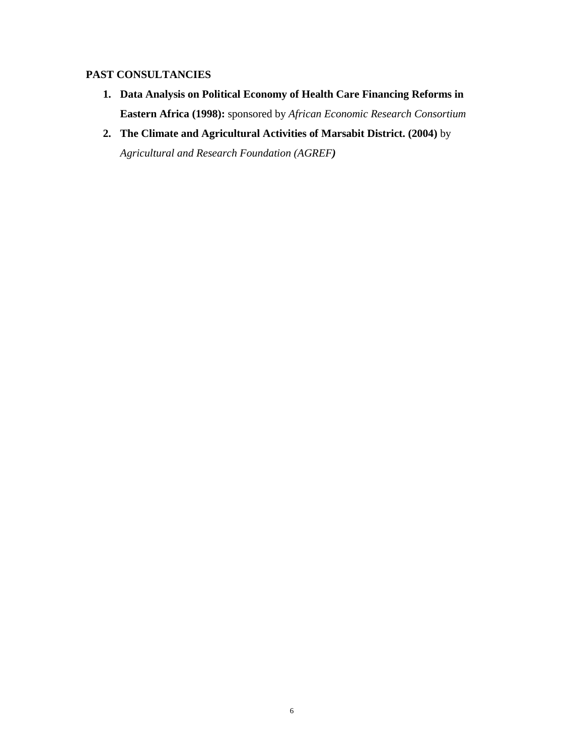# **PAST CONSULTANCIES**

- **1. Data Analysis on Political Economy of Health Care Financing Reforms in Eastern Africa (1998):** sponsored by *African Economic Research Consortium*
- **2. The Climate and Agricultural Activities of Marsabit District. (2004)** by *Agricultural and Research Foundation (AGREF)*